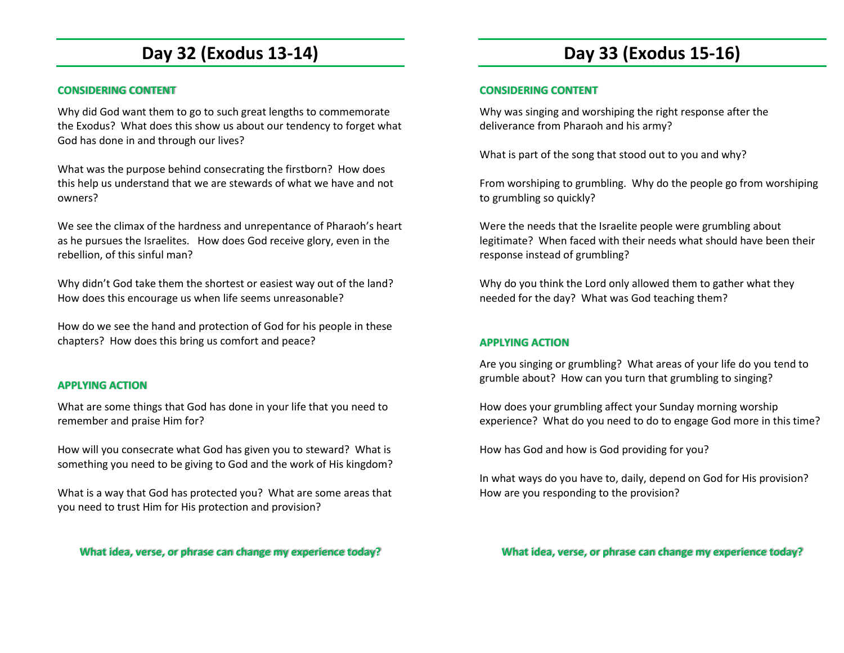# **Day 32 (Exodus 13-14)**

### **CONSIDERING CONTENT**

Why did God want them to go to such great lengths to commemorate the Exodus? What does this show us about our tendency to forget what God has done in and through our lives?

What was the purpose behind consecrating the firstborn? How does this help us understand that we are stewards of what we have and not owners?

We see the climax of the hardness and unrepentance of Pharaoh's heart as he pursues the Israelites. How does God receive glory, even in the rebellion, of this sinful man?

Why didn't God take them the shortest or easiest way out of the land? How does this encourage us when life seems unreasonable?

How do we see the hand and protection of God for his people in these chapters? How does this bring us comfort and peace?

### **APPLYING ACTION**

What are some things that God has done in your life that you need to remember and praise Him for?

How will you consecrate what God has given you to steward? What is something you need to be giving to God and the work of His kingdom?

What is a way that God has protected you? What are some areas that you need to trust Him for His protection and provision?

**What idea, verse, or phrase can change my experience today?**

# **Day 33 (Exodus 15-16)**

### **CONSIDERING CONTENT**

Why was singing and worshiping the right response after the deliverance from Pharaoh and his army?

What is part of the song that stood out to you and why?

From worshiping to grumbling. Why do the people go from worshiping to grumbling so quickly?

Were the needs that the Israelite people were grumbling about legitimate? When faced with their needs what should have been their response instead of grumbling?

Why do you think the Lord only allowed them to gather what they needed for the day? What was God teaching them?

### **APPLYING ACTION**

Are you singing or grumbling? What areas of your life do you tend to grumble about? How can you turn that grumbling to singing?

How does your grumbling affect your Sunday morning worship experience? What do you need to do to engage God more in this time?

How has God and how is God providing for you?

In what ways do you have to, daily, depend on God for His provision? How are you responding to the provision?

**What idea, verse, or phrase can change my experience today?**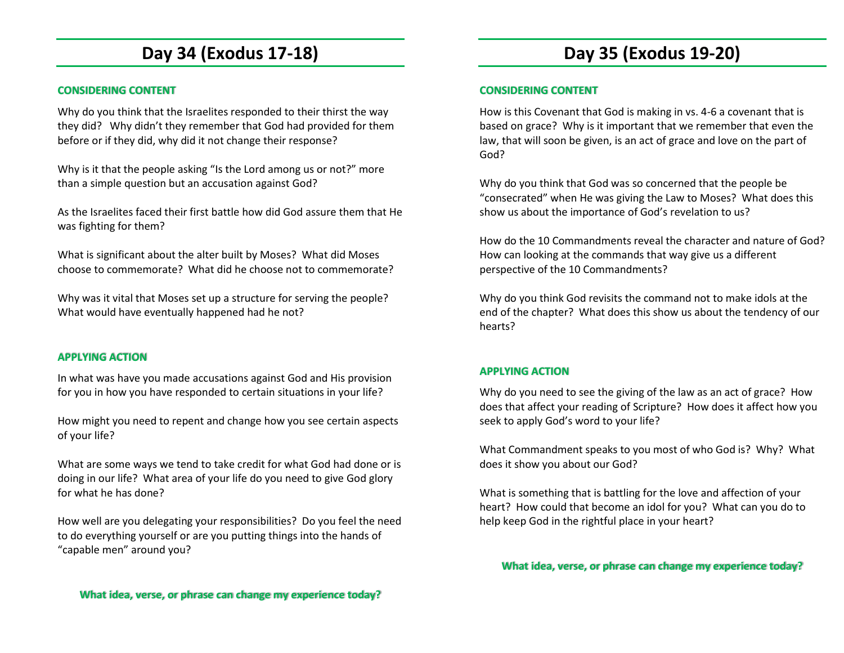# **Day 34 (Exodus 17-18)**

#### **CONSIDERING CONTENT**

Why do you think that the Israelites responded to their thirst the way they did? Why didn't they remember that God had provided for them before or if they did, why did it not change their response?

Why is it that the people asking "Is the Lord among us or not?" more than a simple question but an accusation against God?

As the Israelites faced their first battle how did God assure them that He was fighting for them?

What is significant about the alter built by Moses? What did Moses choose to commemorate? What did he choose not to commemorate?

Why was it vital that Moses set up a structure for serving the people? What would have eventually happened had he not?

#### **APPLYING ACTION**

In what was have you made accusations against God and His provision for you in how you have responded to certain situations in your life?

How might you need to repent and change how you see certain aspects of your life?

What are some ways we tend to take credit for what God had done or is doing in our life? What area of your life do you need to give God glory for what he has done?

How well are you delegating your responsibilities? Do you feel the need to do everything yourself or are you putting things into the hands of "capable men" around you?

#### **CONSIDERING CONTENT**

How is this Covenant that God is making in vs. 4-6 a covenant that is based on grace? Why is it important that we remember that even the law, that will soon be given, is an act of grace and love on the part of God?

Why do you think that God was so concerned that the people be "consecrated" when He was giving the Law to Moses? What does this show us about the importance of God's revelation to us?

How do the 10 Commandments reveal the character and nature of God? How can looking at the commands that way give us a different perspective of the 10 Commandments?

Why do you think God revisits the command not to make idols at the end of the chapter? What does this show us about the tendency of our hearts?

#### **APPLYING ACTION**

Why do you need to see the giving of the law as an act of grace? How does that affect your reading of Scripture? How does it affect how you seek to apply God's word to your life?

What Commandment speaks to you most of who God is? Why? What does it show you about our God?

What is something that is battling for the love and affection of your heart? How could that become an idol for you? What can you do to help keep God in the rightful place in your heart?

**What idea, verse, or phrase can change my experience today?**

**What idea, verse, or phrase can change my experience today?**